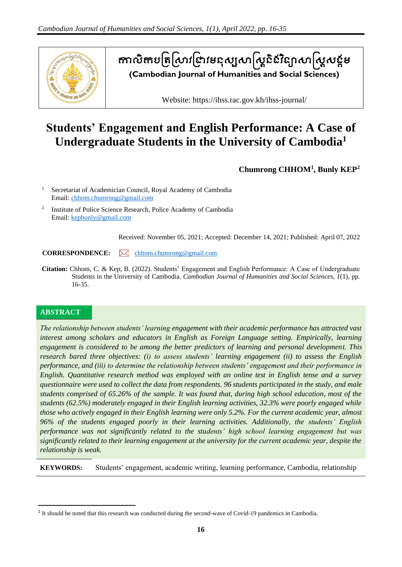

តាលិកបត្រស្រាវជ្រាវមនុស្សសាស្ត្រីនេះន្យាសាស្ត្រសន្តម **(Cambodian Journal of Humanities and Social Sciences)**

Website: https://ihss.rac.gov.kh/ihss-journal/

# **Students' Engagement and English Performance: A Case of Undergraduate Students in the University of Cambodia<sup>1</sup>**

**Chumrong CHHOM<sup>1</sup> , Bunly KEP<sup>2</sup>**

<sup>1</sup> Secretariat of Academician Council, Royal Academy of Cambodia Email: [chhom.chumrong@gmail.com](mailto:chhom.chumrong@gmail.com)

2 Institute of Police Science Research, Police Academy of Cambodia Email: [kepbunly@gmail.com](mailto:kepbunly@gmail.com)

Received: November 05, 2021; Accepted: December 14, 2021; Published: April 07, 2022

**CORRESPONDENCE:** Mondem.chumrong@gmail.com

**Citation:** Chhom, C. & Kep, B. (2022). Students' Engagement and English Performance: A Case of Undergraduate Students in the University of Cambodia. *Cambodian Journal of Humanities and Social Sciences*, *1*(1), pp. 16-35.

## **ABSTRACT**

*The relationship between students' learning engagement with their academic performance has attracted vast interest among scholars and educators in English as Foreign Language setting. Empirically, learning engagement is considered to be among the better predictors of learning and personal development. This research bared three objectives: (i) to assess students' learning engagement (ii) to assess the English performance, and (iii) to determine the relationship between students' engagement and their performance in English. Quantitative research method was employed with an online test in English tense and a survey questionnaire were used to collect the data from respondents. 96 students participated in the study, and male students comprised of 65.26% of the sample. It was found that, during high school education, most of the students (62.5%) moderately engaged in their English learning activities, 32.3% were poorly engaged while those who actively engaged in their English learning were only 5.2%. For the current academic year, almost 96% of the students engaged poorly in their learning activities. Additionally, the students' English performance was not significantly related to the students' high school learning engagement but was significantly related to their learning engagement at the university for the current academic year, despite the relationship is weak.*

**KEYWORDS:** Students' engagement, academic writing, learning performance, Cambodia, relationship

<sup>&</sup>lt;sup>1</sup> It should be noted that this research was conducted during the second-wave of Covid-19 pandemics in Cambodia.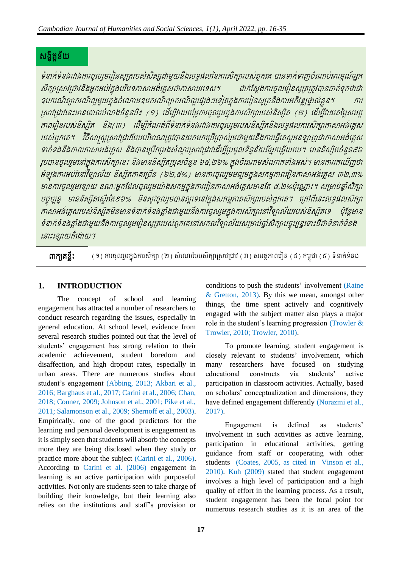## សង្ខិត្ន័យត

ទំនាក់ទំនងរវាងការចូលរួមរៀនសូត្ររបស់សិស្សជាមួយនឹងលទ្ធផលនៃការសិក្សារបស់ពួករេ បានទាក់ទាញចំណាប់អារម្មណ៍អ្នក សិក្សាស្រាវជ្រាវនិងអ្នកអប់រំក្នុងបរិបទភាសាអង់គ្លេសជាភាសាបរទេស។ ជាក់ស្តែងការចូលរៀនសូត្រត្រូវបានចាត់ទុកថាជា ឧបករណ៍ព្យាករណ៍ល្អមួយក្នុងចំណោមឧបករណ៍ព្យាករណ៍ល្អផ្សេងៗទៀតក្នុងការរៀនសូត្រនិងការអភិវឌ្ឍផ្ទាល់ខ្លួន។ ស្រាវជ្រាវនេះមានគោលបំណងចំនួនបី៖ (១) ដើម្បីវាយតម្លៃការចូលរួមក្នុងការសិក្សារបស់និស្សិត (២) ដើម្បីវាយតម្លៃសមត្ថ ភាពររៀនរបស់និសសិត្ និង្(៣) រ ីមបីកំណត្់ពីទំនាក់ទំនង្រវាង្ការចូលរមួ របស់និសសិត្និង្លទធផលការសិកាភាាអ្ង្រ់ េេស របស់ពួកគេ។ វិធីសាស្ត្រស្រាវជ្រាវបែបបរិមាណត្រូវបានយកមកប្រើប្រាស់រួមជាមួយនឹងការធ្វើតេស្តអនឡាញជាភាសាអង់គ្លេស ទាក់ទងនឹងកាលភាសាអង់គ្លេស និងបានប្រើកម្រងសំណួរស្រាវជ្រាវដើម្បីប្រមូលទិន្នន័យពីអ្នកឆ្លើយតប។ មាននិស្សិតចំនួន៩៦ រូបបានចូលរួមនៅក្នុងការសិក្សានេះ និងមាននិស្សិតប្រុសចំនួន ៦៥,២៦% ក្នុងចំណោមសំណាកទាំងអស់។ មានការរកឃើញថា អំឡុងការអប់រំនៅវិទ្យាល័យ និស្សិតកាគច្រើន (៦២,៥%) មានការចូលរួមមធ្យមក្នុងសកម្មភាពរៀនភាសាអង់គ្លេស ៣២,៣% មានការចូលរួមខ្សោយ ខណៈអ្នកដែលចូលរួមយ៉ាងសកម្មក្នុងការរៀនភាសាអង់គ្លេសមានតែ ៥,២%ប៉ុណ្ណោះ។ សម្រាប់ឆ្នាំសិក្សា បច្ចុប្បន្ន មាននិស្សិតស្ទើរតែ៩៦% មិនសូវចូលរួមបានល្អទេនៅក្នុងសកម្មភាពសិក្សារបស់ពួកគេ។ ក្រៅពីនេះលទ្ធផលសិក្សា ភាសាអង់គ្លេសរបស់និស្សិតមិនមានទំនាក់ទំនងខ្លាំងជាមួយនឹងការចូលរួមក្នុងការសិក្សានៅវិទ្យាល័យរបស់និស្សិតទេ ប៉ុន្តែមាន ទំនាក់ទំនងខ្លាំងជាមួយនឹងការចូលរួមរៀនសូត្ររបស់ពួកគេនៅសកលវិទ្យាល័យសម្រាប់ឆ្នាំសិក្សាបច្ចុប្បន្នទោះបីជាទំនាក់ទំនង រនាេះរខ្ាយក៏រោយ។

 $\mathsf{m}\mathsf{r}\mathsf{f}\mathsf{r}\mathsf{g}$ ីនឹះ (១) ការចូលរួមក្នុងការសិក្សា (២) សំណេរបែបសិក្សាស្រាវជ្រាវ (៣) សមត្ថភាពរៀន (៤) កម្ពុជា (៥) ទំនាក់ទំនង

## **1. INTRODUCTION**

The concept of school and learning engagement has attracted a number of researchers to conduct research regarding the issues, especially in general education. At school level, evidence from several research studies pointed out that the level of students' engagement has strong relation to their academic achievement, student boredom and disaffection, and high dropout rates, especially in urban areas. There are numerous studies about student's engagement (Abbing, 2013; Akbari et al., 2016; Barghaus et al., 2017; Carini et al., 2006; Chan, 2018; Conner, 2009; Johnson et al., 2001; Pike et al., 2011; Salamonson et al., 2009; Shernoff et al., 2003). Empirically, one of the good predictors for the learning and personal development is engagement as it is simply seen that students will absorb the concepts more they are being disclosed when they study or practice more about the subject (Carini et al., 2006). According to Carini et al. (2006) engagement in learning is an active participation with purposeful activities. Not only are students seen to take charge of building their knowledge, but their learning also relies on the institutions and staff's provision or

conditions to push the students' involvement (Raine & Gretton, 2013). By this we mean, amongst other things, the time spent actively and cognitively engaged with the subject matter also plays a major role in the student's learning progression (Trowler & Trowler, 2010; Trowler, 2010).

To promote learning, student engagement is closely relevant to students' involvement, which many researchers have focused on studying educational constructs via students' active participation in classroom activities. Actually, based on scholars' conceptualization and dimensions, they have defined engagement differently (Norazmi et al., 2017).

Engagement is defined as students' involvement in such activities as active learning, participation in educational activities, getting guidance from staff or cooperating with other students (Coates, 2005, as cited in Vinson et al., 2010). Kuh (2009) stated that student engagement involves a high level of participation and a high quality of effort in the learning process. As a result, student engagement has been the focal point for numerous research studies as it is an area of the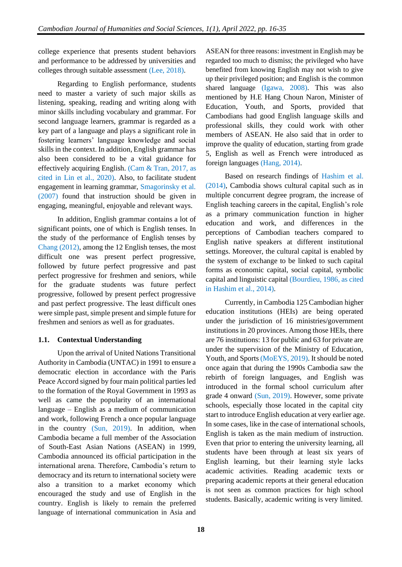college experience that presents student behaviors and performance to be addressed by universities and colleges through suitable assessment (Lee, 2018).

Regarding to English performance, students need to master a variety of such major skills as listening, speaking, reading and writing along with minor skills including vocabulary and grammar. For second language learners, grammar is regarded as a key part of a language and plays a significant role in fostering learners' language knowledge and social skills in the context. In addition, English grammar has also been considered to be a vital guidance for effectively acquiring English. (Cam & Tran, 2017, as cited in Lin et al., 2020). Also, to facilitate student engagement in learning grammar, Smagorinsky et al. (2007) found that instruction should be given in engaging, meaningful, enjoyable and relevant ways.

In addition, English grammar contains a lot of significant points, one of which is English tenses. In the study of the performance of English tenses by Chang (2012), among the 12 English tenses, the most difficult one was present perfect progressive, followed by future perfect progressive and past perfect progressive for freshmen and seniors, while for the graduate students was future perfect progressive, followed by present perfect progressive and past perfect progressive. The least difficult ones were simple past, simple present and simple future for freshmen and seniors as well as for graduates.

## **1.1. Contextual Understanding**

Upon the arrival of United Nations Transitional Authority in Cambodia (UNTAC) in 1991 to ensure a democratic election in accordance with the Paris Peace Accord signed by four main political parties led to the formation of the Royal Government in 1993 as well as came the popularity of an international language – English as a medium of communication and work, following French a once popular language in the country (Sun, 2019). In addition, when Cambodia became a full member of the Association of South-East Asian Nations (ASEAN) in 1999, Cambodia announced its official participation in the international arena. Therefore, Cambodia's return to democracy and its return to international society were also a transition to a market economy which encouraged the study and use of English in the country. English is likely to remain the preferred language of international communication in Asia and

ASEAN for three reasons: investment in English may be regarded too much to dismiss; the privileged who have benefited from knowing English may not wish to give up their privileged position; and English is the common shared language (Igawa, 2008). This was also mentioned by H.E Hang Choun Naron, Minister of Education, Youth, and Sports, provided that Cambodians had good English language skills and professional skills, they could work with other members of ASEAN. He also said that in order to improve the quality of education, starting from grade 5, English as well as French were introduced as foreign languages (Hang, 2014).

Based on research findings of Hashim et al. (2014), Cambodia shows cultural capital such as in multiple concurrent degree program, the increase of English teaching careers in the capital, English's role as a primary communication function in higher education and work, and differences in the perceptions of Cambodian teachers compared to English native speakers at different institutional settings. Moreover, the cultural capital is enabled by the system of exchange to be linked to such capital forms as economic capital, social capital, symbolic capital and linguistic capital (Bourdieu, 1986, as cited in Hashim et al., 2014).

Currently, in Cambodia 125 Cambodian higher education institutions (HEIs) are being operated under the jurisdiction of 16 ministries/government institutions in 20 provinces. Among those HEIs, there are 76 institutions: 13 for public and 63 for private are under the supervision of the Ministry of Education, Youth, and Sports (MoEYS, 2019). It should be noted once again that during the 1990s Cambodia saw the rebirth of foreign languages, and English was introduced in the formal school curriculum after grade 4 onward (Sun, 2019). However, some private schools, especially those located in the capital city start to introduce English education at very earlier age. In some cases, like in the case of international schools, English is taken as the main medium of instruction. Even that prior to entering the university learning, all students have been through at least six years of English learning, but their learning style lacks academic activities. Reading academic texts or preparing academic reports at their general education is not seen as common practices for high school students. Basically, academic writing is very limited.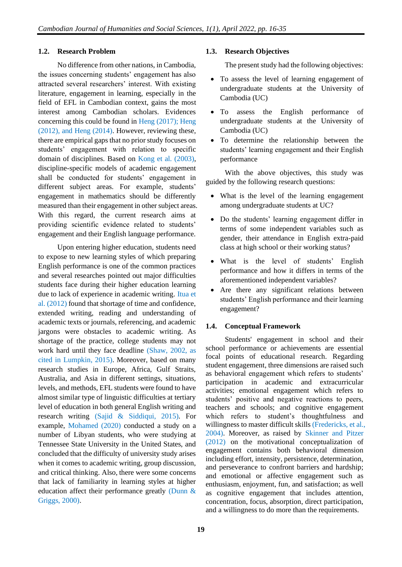#### **1.2. Research Problem**

No difference from other nations, in Cambodia, the issues concerning students' engagement has also attracted several researchers' interest. With existing literature, engagement in learning, especially in the field of EFL in Cambodian context, gains the most interest among Cambodian scholars. Evidences concerning this could be found in Heng (2017); Heng (2012), and Heng (2014). However, reviewing these, there are empirical gaps that no prior study focuses on students' engagement with relation to specific domain of disciplines. Based on Kong et al. (2003), discipline-specific models of academic engagement shall be conducted for students' engagement in different subject areas. For example, students' engagement in mathematics should be differently measured than their engagement in other subject areas. With this regard, the current research aims at providing scientific evidence related to students' engagement and their English language performance.

Upon entering higher education, students need to expose to new learning styles of which preparing English performance is one of the common practices and several researches pointed out major difficulties students face during their higher education learning due to lack of experience in academic writing. Itua et al. (2012) found that shortage of time and confidence, extended writing, reading and understanding of academic texts or journals, referencing, and academic jargons were obstacles to academic writing. As shortage of the practice, college students may not work hard until they face deadline (Shaw, 2002, as cited in Lumpkin, 2015). Moreover, based on many research studies in Europe, Africa, Gulf Straits, Australia, and Asia in different settings, situations, levels, and methods, EFL students were found to have almost similar type of linguistic difficulties at tertiary level of education in both general English writing and research writing (Sajid & Siddiqui, 2015). For example, Mohamed (2020) conducted a study on a number of Libyan students, who were studying at Tennessee State University in the United States, and concluded that the difficulty of university study arises when it comes to academic writing, group discussion, and critical thinking. Also, there were some concerns that lack of familiarity in learning styles at higher education affect their performance greatly (Dunn & Griggs, 2000).

#### **1.3. Research Objectives**

The present study had the following objectives:

- To assess the level of learning engagement of undergraduate students at the University of Cambodia (UC)
- To assess the English performance of undergraduate students at the University of Cambodia (UC)
- To determine the relationship between the students' learning engagement and their English performance

With the above objectives, this study was guided by the following research questions:

- What is the level of the learning engagement among undergraduate students at UC?
- Do the students' learning engagement differ in terms of some independent variables such as gender, their attendance in English extra-paid class at high school or their working status?
- What is the level of students' English performance and how it differs in terms of the aforementioned independent variables?
- Are there any significant relations between students' English performance and their learning engagement?

#### **1.4. Conceptual Framework**

Students' engagement in school and their school performance or achievements are essential focal points of educational research. Regarding student engagement, three dimensions are raised such as behavioral engagement which refers to students' participation in academic and extracurricular activities; emotional engagement which refers to students' positive and negative reactions to peers, teachers and schools; and cognitive engagement which refers to student's thoughtfulness and willingness to master difficult skills (Fredericks, et al., 2004). Moreover, as raised by Skinner and Pitzer (2012) on the motivational conceptualization of engagement contains both behavioral dimension including effort, intensity, persistence, determination, and perseverance to confront barriers and hardship; and emotional or affective engagement such as enthusiasm, enjoyment, fun, and satisfaction; as well as cognitive engagement that includes attention, concentration, focus, absorption, direct participation, and a willingness to do more than the requirements.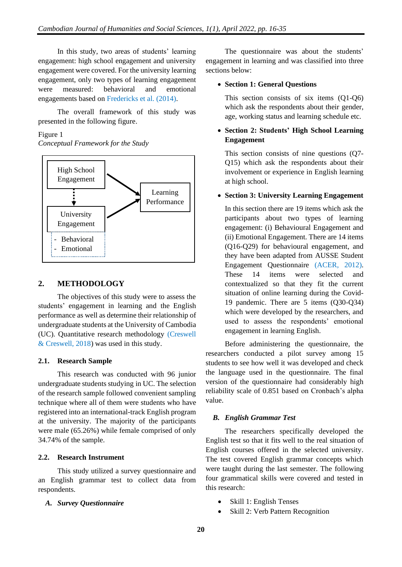In this study, two areas of students' learning engagement: high school engagement and university engagement were covered. For the university learning engagement, only two types of learning engagement were measured: behavioral and emotional engagements based on Fredericks et al. (2014).

The overall framework of this study was presented in the following figure.

## Figure 1

*Conceptual Framework for the Study*



## **2. METHODOLOGY**

The objectives of this study were to assess the students' engagement in learning and the English performance as well as determine their relationship of undergraduate students at the University of Cambodia (UC). Quantitative research methodology (Creswell & Creswell, 2018) was used in this study.

#### **2.1. Research Sample**

This research was conducted with 96 junior undergraduate students studying in UC. The selection of the research sample followed convenient sampling technique where all of them were students who have registered into an international-track English program at the university. The majority of the participants were male (65.26%) while female comprised of only 34.74% of the sample.

## **2.2. Research Instrument**

This study utilized a survey questionnaire and an English grammar test to collect data from respondents.

## *A. Survey Questionnaire*

The questionnaire was about the students' engagement in learning and was classified into three sections below:

## • **Section 1: General Questions**

This section consists of six items (Q1-Q6) which ask the respondents about their gender, age, working status and learning schedule etc.

## • **Section 2: Students' High School Learning Engagement**

This section consists of nine questions (Q7- Q15) which ask the respondents about their involvement or experience in English learning at high school.

#### • **Section 3: University Learning Engagement**

In this section there are 19 items which ask the participants about two types of learning engagement: (i) Behavioural Engagement and (ii) Emotional Engagement. There are 14 items (Q16-Q29) for behavioural engagement, and they have been adapted from AUSSE Student Engagement Questionnaire (ACER, 2012). These 14 items were selected and contextualized so that they fit the current situation of online learning during the Covid-19 pandemic. There are 5 items (Q30-Q34) which were developed by the researchers, and used to assess the respondents' emotional engagement in learning English.

Before administering the questionnaire, the researchers conducted a pilot survey among 15 students to see how well it was developed and check the language used in the questionnaire. The final version of the questionnaire had considerably high reliability scale of 0.851 based on Cronbach's alpha value.

## *B. English Grammar Test*

The researchers specifically developed the English test so that it fits well to the real situation of English courses offered in the selected university. The test covered English grammar concepts which were taught during the last semester. The following four grammatical skills were covered and tested in this research:

- Skill 1: English Tenses
- Skill 2: Verb Pattern Recognition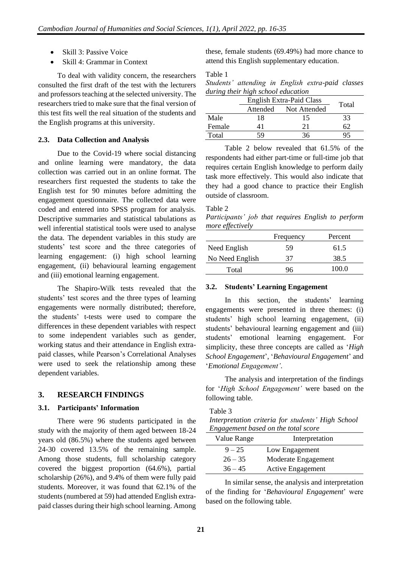- Skill 3: Passive Voice
- Skill 4: Grammar in Context

To deal with validity concern, the researchers consulted the first draft of the test with the lecturers and professors teaching at the selected university. The researchers tried to make sure that the final version of this test fits well the real situation of the students and the English programs at this university.

#### **2.3. Data Collection and Analysis**

Due to the Covid-19 where social distancing and online learning were mandatory, the data collection was carried out in an online format. The researchers first requested the students to take the English test for 90 minutes before admitting the engagement questionnaire. The collected data were coded and entered into SPSS program for analysis. Descriptive summaries and statistical tabulations as well inferential statistical tools were used to analyse the data. The dependent variables in this study are students' test score and the three categories of learning engagement: (i) high school learning engagement, (ii) behavioural learning engagement and (iii) emotional learning engagement.

The Shapiro-Wilk tests revealed that the students' test scores and the three types of learning engagements were normally distributed; therefore, the students' t-tests were used to compare the differences in these dependent variables with respect to some independent variables such as gender, working status and their attendance in English extrapaid classes, while Pearson's Correlational Analyses were used to seek the relationship among these dependent variables.

## **3. RESEARCH FINDINGS**

#### **3.1. Participants' Information**

There were 96 students participated in the study with the majority of them aged between 18-24 years old (86.5%) where the students aged between 24-30 covered 13.5% of the remaining sample. Among those students, full scholarship category covered the biggest proportion (64.6%), partial scholarship (26%), and 9.4% of them were fully paid students. Moreover, it was found that 62.1% of the students (numbered at 59) had attended English extrapaid classes during their high school learning. Among

these, female students (69.49%) had more chance to attend this English supplementary education.

#### Table 1

|                                    |  | Students' attending in English extra-paid classes |  |
|------------------------------------|--|---------------------------------------------------|--|
| during their high school education |  |                                                   |  |

|        | English Extra-Paid Class | Total                 |    |
|--------|--------------------------|-----------------------|----|
|        |                          | Attended Not Attended |    |
| Male   | 18                       | 15                    | 33 |
| Female |                          | 21                    | 62 |
| Total  | 59                       | 36                    | 95 |

Table 2 below revealed that 61.5% of the respondents had either part-time or full-time job that requires certain English knowledge to perform daily task more effectively. This would also indicate that they had a good chance to practice their English outside of classroom.

#### Table 2

*Participants' job that requires English to perform more effectively*

|                 | Frequency | Percent |
|-----------------|-----------|---------|
| Need English    | 59        | 61.5    |
| No Need English | 37        | 38.5    |
| Total           | 96        | 100.0   |

#### **3.2. Students' Learning Engagement**

In this section, the students' learning engagements were presented in three themes: (i) students' high school learning engagement, (ii) students' behavioural learning engagement and (iii) students' emotional learning engagement. For simplicity, these three concepts are called as '*High School Engagement*', '*Behavioural Engagement*' and '*Emotional Engagement'*.

The analysis and interpretation of the findings for '*High School Engagement'* were based on the following table.

Table 3

*Interpretation criteria for students' High School Engagement based on the total score*

| Value Range | Interpretation           |
|-------------|--------------------------|
| $9 - 25$    | Low Engagement           |
| $26 - 35$   | Moderate Engagement      |
| $36 - 45$   | <b>Active Engagement</b> |

In similar sense, the analysis and interpretation of the finding for '*Behavioural Engagement*' were based on the following table.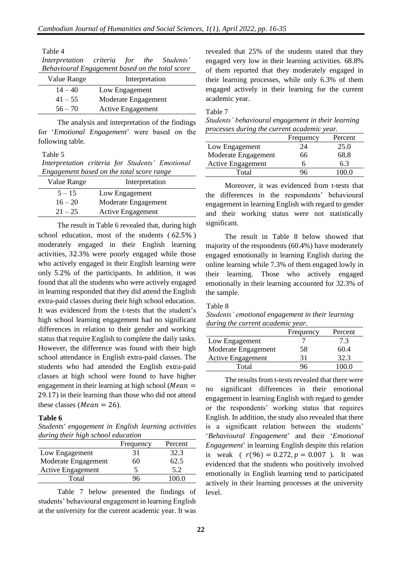| Table 4     |                                                 |  |
|-------------|-------------------------------------------------|--|
|             | Interpretation criteria for the Students'       |  |
|             | Behavioural Engagement based on the total score |  |
| Value Range | Interpretation                                  |  |
| $14 - 40$   | Low Engagement                                  |  |
| $41 - 55$   | Moderate Engagement                             |  |
| $56 - 70$   | <b>Active Engagement</b>                        |  |

The analysis and interpretation of the findings for '*Emotional Engagement*' were based on the following table.

Table 5

*Interpretation criteria for Students' Emotional Engagement based on the total score range*

| Value Range | Interpretation           |
|-------------|--------------------------|
| $5 - 15$    | Low Engagement           |
| $16 - 20$   | Moderate Engagement      |
| $21 - 25$   | <b>Active Engagement</b> |

The result in Table 6 revealed that, during high school education, most of the students ( 62.5% ) moderately engaged in their English learning activities, 32.3% were poorly engaged while those who actively engaged in their English learning were only 5.2% of the participants. In addition, it was found that all the students who were actively engaged in learning responded that they did attend the English extra-paid classes during their high school education. It was evidenced from the t-tests that the student's high school learning engagement had no significant differences in relation to their gender and working status that require English to complete the daily tasks. However, the difference was found with their high school attendance in English extra-paid classes. The students who had attended the English extra-paid classes at high school were found to have higher engagement in their learning at high school ( $Mean =$ 29.17) in their learning than those who did not attend these classes (*Mean* = 26).

## **Table 6**

*Students' engagement in English learning activities during their high school education*

|                          | Frequency | Percent |
|--------------------------|-----------|---------|
| Low Engagement           | 31        | 32.3    |
| Moderate Engagement      | 60        | 62.5    |
| <b>Active Engagement</b> |           | 52      |
| Total                    | 96        | 00 O    |

Table 7 below presented the findings of students' behavioural engagement in learning English at the university for the current academic year. It was revealed that 25% of the students stated that they engaged very low in their learning activities. 68.8% of them reported that they moderately engaged in their learning processes, while only 6.3% of them engaged actively in their learning for the current academic year.

Table 7

*Students' behavioural engagement in their learning processes during the current academic year.*

|                          | Frequency | Percent |
|--------------------------|-----------|---------|
| Low Engagement           | 24        | 25.0    |
| Moderate Engagement      | 66        | 68.8    |
| <b>Active Engagement</b> | h         | 6.3     |
| Total                    | 96.       | 100 O   |

Moreover, it was evidenced from t-tests that the differences in the respondents' behavioural engagement in learning English with regard to gender and their working status were not statistically significant.

The result in Table 8 below showed that majority of the respondents (60.4%) have moderately engaged emotionally in learning English during the online learning while 7.3% of them engaged lowly in their learning. Those who actively engaged emotionally in their learning accounted for 32.3% of the sample.

## Table 8

*Students' emotional engagement in their learning during the current academic year.*

|                          | Frequency | Percent |
|--------------------------|-----------|---------|
| Low Engagement           |           | 7.3     |
| Moderate Engagement      | 58        | 60.4    |
| <b>Active Engagement</b> | 31        | 32.3    |
| Total                    | JЬ        |         |

The results from t-tests revealed that there were no significant differences in their emotional engagement in learning English with regard to gender or the respondents' working status that requires English. In addition, the study also revealed that there is a significant relation between the students' '*Behavioural Engagement*' and their '*Emotional Engagement*' in learning English despite this relation is weak ( $r(96) = 0.272$ ,  $p = 0.007$ ). It was evidenced that the students who positively involved emotionally in English learning tend to participated actively in their learning processes at the university level.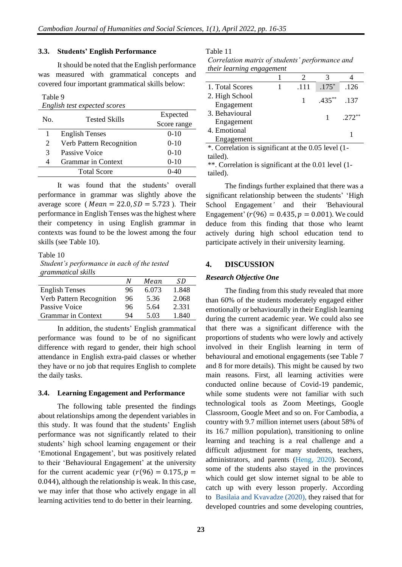#### **3.3. Students' English Performance**

It should be noted that the English performance was measured with grammatical concepts and covered four important grammatical skills below:

Table 9

| English test expected scores |                           |             |  |  |
|------------------------------|---------------------------|-------------|--|--|
| No.                          | <b>Tested Skills</b>      | Expected    |  |  |
|                              |                           | Score range |  |  |
| 1                            | <b>English Tenses</b>     | $0-10$      |  |  |
| 2                            | Verb Pattern Recognition  | $0-10$      |  |  |
| 3                            | Passive Voice             | $0-10$      |  |  |
| 4                            | <b>Grammar</b> in Context | $0 - 10$    |  |  |
|                              | <b>Total Score</b>        | 0-40        |  |  |

It was found that the students' overall performance in grammar was slightly above the average score ( $Mean = 22.0, SD = 5.723$ ). Their performance in English Tenses was the highest where their competency in using English grammar in contexts was found to be the lowest among the four skills (see Table 10).

Table 10 *Student's performance in each of the tested grammatical skills*

|                          | N  | Mean  | SD    |
|--------------------------|----|-------|-------|
| <b>English Tenses</b>    | 96 | 6.073 | 1.848 |
| Verb Pattern Recognition | 96 | 5.36  | 2.068 |
| Passive Voice            | 96 | 5.64  | 2.331 |
| Grammar in Context       | 94 | 5.03  | 1.840 |

In addition, the students' English grammatical performance was found to be of no significant difference with regard to gender, their high school attendance in English extra-paid classes or whether they have or no job that requires English to complete the daily tasks.

#### **3.4. Learning Engagement and Performance**

The following table presented the findings about relationships among the dependent variables in this study. It was found that the students' English performance was not significantly related to their students' high school learning engagement or their 'Emotional Engagement', but was positively related to their 'Behavioural Engagement' at the university for the current academic year  $(r(96) = 0.175, p =$ 0.044), although the relationship is weak. In this case, we may infer that those who actively engage in all learning activities tend to do better in their learning.

Table 11

| Correlation matrix of students' performance and |  |
|-------------------------------------------------|--|
| their learning engagement                       |  |

| 1. Total Scores                          | .111 | $.175*$   | .126     |
|------------------------------------------|------|-----------|----------|
| 2. High School<br>Engagement             |      | $.435***$ | .137     |
| 3. Behavioural                           |      |           | $.272**$ |
| Engagement<br>4. Emotional<br>Engagement |      |           |          |

\*. Correlation is significant at the 0.05 level (1 tailed).

\*\*. Correlation is significant at the 0.01 level (1 tailed).

The findings further explained that there was a significant relationship between the students' 'High School Engagement*'* and their *'*Behavioural Engagement' ( $r(96) = 0.435$ ,  $p = 0.001$ ). We could deduce from this finding that those who learnt actively during high school education tend to participate actively in their university learning.

#### **4. DISCUSSION**

#### *Research Objective One*

The finding from this study revealed that more than 60% of the students moderately engaged either emotionally or behaviourally in their English learning during the current academic year. We could also see that there was a significant difference with the proportions of students who were lowly and actively involved in their English learning in term of behavioural and emotional engagements (see Table 7 and 8 for more details). This might be caused by two main reasons. First, all learning activities were conducted online because of Covid-19 pandemic, while some students were not familiar with such technological tools as Zoom Meetings, Google Classroom, Google Meet and so on. For Cambodia, a country with 9.7 million internet users (about 58% of its 16.7 million population), transitioning to online learning and teaching is a real challenge and a difficult adjustment for many students, teachers, administrators, and parents (Heng, 2020). Second, some of the students also stayed in the provinces which could get slow internet signal to be able to catch up with every lesson properly. According to [Basilaia and](https://www.scirp.org/journal/paperinformation.aspx?paperid=103646#ref2) Kvavadze (2020), they raised that for developed countries and some developing countries,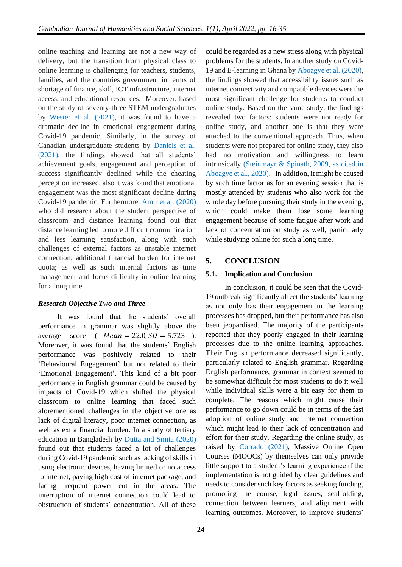online teaching and learning are not a new way of delivery, but the transition from physical class to online learning is challenging for teachers, students, families, and the countries government in terms of shortage of finance, skill, ICT infrastructure, internet access, and educational resources. Moreover, based on the study of seventy-three STEM undergraduates by Wester et al. (2021), it was found to have a dramatic decline in emotional engagement during Covid-19 pandemic. Similarly, in the survey of Canadian undergraduate students by Daniels et al. (2021), the findings showed that all students' achievement goals, engagement and perception of success significantly declined while the cheating perception increased, also it was found that emotional engagement was the most significant decline during Covid-19 pandemic. Furthermore, Amir et al. (2020) who did research about the student perspective of classroom and distance learning found out that distance learning led to more difficult communication and less learning satisfaction, along with such challenges of external factors as unstable internet connection, additional financial burden for internet quota; as well as such internal factors as time management and focus difficulty in online learning for a long time.

## *Research Objective Two and Three*

It was found that the students' overall performance in grammar was slightly above the average score (  $Mean = 22.0, SD = 5.723$  ). Moreover, it was found that the students' English performance was positively related to their 'Behavioural Engagement' but not related to their 'Emotional Engagement'. This kind of a bit poor performance in English grammar could be caused by impacts of Covid-19 which shifted the physical classroom to online learning that faced such aforementioned challenges in the objective one as lack of digital literacy, poor internet connection, as well as extra financial burden. In a study of tertiary education in Bangladesh by Dutta and Smita (2020) found out that students faced a lot of challenges during Covid-19 pandemic such as lacking of skills in using electronic devices, having limited or no access to internet, paying high cost of internet package, and facing frequent power cut in the areas. The interruption of internet connection could lead to obstruction of students' concentration. All of these could be regarded as a new stress along with physical problems for the students. In another study on Covid-19 and E-learning in Ghana by Aboagye et al. (2020), the findings showed that accessibility issues such as internet connectivity and compatible devices were the most significant challenge for students to conduct online study. Based on the same study, the findings revealed two factors: students were not ready for online study, and another one is that they were attached to the conventional approach. Thus, when students were not prepared for online study, they also had no motivation and willingness to learn intrinsically (Steinmayr & Spinath, 2009, as cited in Aboagye et al., 2020). In addition, it might be caused by such time factor as for an evening session that is mostly attended by students who also work for the whole day before pursuing their study in the evening, which could make them lose some learning engagement because of some fatigue after work and lack of concentration on study as well, particularly while studying online for such a long time.

## **5. CONCLUSION**

## **5.1. Implication and Conclusion**

In conclusion, it could be seen that the Covid-19 outbreak significantly affect the students' learning as not only has their engagement in the learning processes has dropped, but their performance has also been jeopardised. The majority of the participants reported that they poorly engaged in their learning processes due to the online learning approaches. Their English performance decreased significantly, particularly related to English grammar. Regarding English performance, grammar in context seemed to be somewhat difficult for most students to do it well while individual skills were a bit easy for them to complete. The reasons which might cause their performance to go down could be in terms of the fast adoption of online study and internet connection which might lead to their lack of concentration and effort for their study. Regarding the online study, as raised by Corrado (2021), Massive Online Open Courses (MOOCs) by themselves can only provide little support to a student's learning experience if the implementation is not guided by clear guidelines and needs to consider such key factors as seeking funding, promoting the course, legal issues, scaffolding, connection between learners, and alignment with learning outcomes. Moreover, to improve students'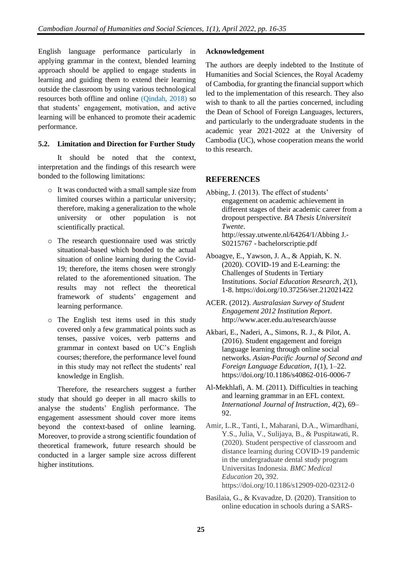English language performance particularly in applying grammar in the context, blended learning approach should be applied to engage students in learning and guiding them to extend their learning outside the classroom by using various technological resources both offline and online (Qindah, 2018) so that students' engagement, motivation, and active learning will be enhanced to promote their academic performance.

## **5.2. Limitation and Direction for Further Study**

It should be noted that the context, interpretation and the findings of this research were bonded to the following limitations:

- o It was conducted with a small sample size from limited courses within a particular university; therefore, making a generalization to the whole university or other population is not scientifically practical.
- o The research questionnaire used was strictly situational-based which bonded to the actual situation of online learning during the Covid-19; therefore, the items chosen were strongly related to the aforementioned situation. The results may not reflect the theoretical framework of students' engagement and learning performance.
- o The English test items used in this study covered only a few grammatical points such as tenses, passive voices, verb patterns and grammar in context based on UC's English courses; therefore, the performance level found in this study may not reflect the students' real knowledge in English.

Therefore, the researchers suggest a further study that should go deeper in all macro skills to analyse the students' English performance. The engagement assessment should cover more items beyond the context-based of online learning. Moreover, to provide a strong scientific foundation of theoretical framework, future research should be conducted in a larger sample size across different higher institutions.

## **Acknowledgement**

The authors are deeply indebted to the Institute of Humanities and Social Sciences, the Royal Academy of Cambodia, for granting the financial support which led to the implementation of this research. They also wish to thank to all the parties concerned, including the Dean of School of Foreign Languages, lecturers, and particularly to the undergraduate students in the academic year 2021-2022 at the University of Cambodia (UC), whose cooperation means the world to this research.

## **REFERENCES**

- Abbing, J. (2013). The effect of students' engagement on academic achievement in different stages of their academic career from a dropout perspective. *BA Thesis Universiteit Twente*. http://essay.utwente.nl/64264/1/Abbing J.- S0215767 - bachelorscriptie.pdf
- Aboagye, E., Yawson, J. A., & Appiah, K. N. (2020). COVID-19 and E-Learning: the Challenges of Students in Tertiary Institutions. *Social Education Research*, *2*(1), 1-8. https://doi.org/10.37256/ser.212021422
- ACER. (2012). *Australasian Survey of Student Engagement 2012 Institution Report*. http://www.acer.edu.au/research/ausse
- Akbari, E., Naderi, A., Simons, R. J., & Pilot, A. (2016). Student engagement and foreign language learning through online social networks. *Asian-Pacific Journal of Second and Foreign Language Education*, *1*(1), 1–22. https://doi.org/10.1186/s40862-016-0006-7
- Al-Mekhlafi, A. M. (2011). Difficulties in teaching and learning grammar in an EFL context. *International Journal of Instruction*, *4*(2), 69– 92.
- Amir, L.R., Tanti, I., Maharani, D.A., Wimardhani, Y.S., Julia, V., Sulijaya, B., & Puspitawati, R. (2020)*.* Student perspective of classroom and distance learning during COVID-19 pandemic in the undergraduate dental study program Universitas Indonesia. *BMC Medical Education* 20**,** 392. https://doi.org/10.1186/s12909-020-02312-0
- Basilaia, G., & Kvavadze, D. (2020). Transition to online education in schools during a SARS-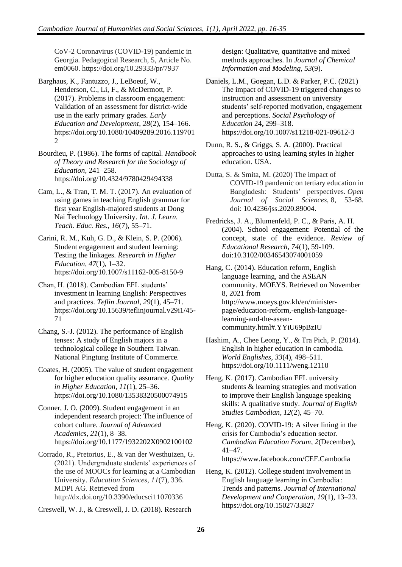CoV-2 Coronavirus (COVID-19) pandemic in Georgia. Pedagogical Research, 5, Article No. em0060. https://doi.org/10.29333/pr/7937

Barghaus, K., Fantuzzo, J., LeBoeuf, W., Henderson, C., Li, F., & McDermott, P. (2017). Problems in classroom engagement: Validation of an assessment for district-wide use in the early primary grades. *Early Education and Development*, *28*(2), 154–166. https://doi.org/10.1080/10409289.2016.119701 2

Bourdieu, P. (1986). The forms of capital. *Handbook of Theory and Research for the Sociology of Education*, 241–258. https://doi.org/10.4324/9780429494338

- Cam, L., & Tran, T. M. T. (2017). An evaluation of using games in teaching English grammar for first year English-majored students at Dong Nai Technology University. *Int. J. Learn. Teach. Educ. Res., 16*(7), 55–71.
- Carini, R. M., Kuh, G. D., & Klein, S. P. (2006). Student engagement and student learning: Testing the linkages. *Research in Higher Education*, *47*(1), 1–32. https://doi.org/10.1007/s11162-005-8150-9

Chan, H. (2018). Cambodian EFL students' investment in learning English: Perspectives and practices. *Teflin Journal*, *29*(1), 45–71. https://doi.org/10.15639/teflinjournal.v29i1/45- 71

- Chang, S.-J. (2012). The performance of English tenses: A study of English majors in a technological college in Southern Taiwan. National Pingtung Institute of Commerce.
- Coates, H. (2005). The value of student engagement for higher education quality assurance. *Quality in Higher Education*, *11*(1), 25–36. https://doi.org/10.1080/13538320500074915

Conner, J. O. (2009). Student engagement in an independent research project: The influence of cohort culture. *Journal of Advanced Academics*, *21*(1), 8–38. https://doi.org/10.1177/1932202X0902100102

- Corrado, R., Pretorius, E., & van der Westhuizen, G. (2021). Undergraduate students' experiences of the use of MOOCs for learning at a Cambodian University. *Education Sciences*, *11*(7), 336. MDPI AG. Retrieved from http://dx.doi.org/10.3390/educsci11070336
- Creswell, W. J., & Creswell, J. D. (2018). Research

design: Qualitative, quantitative and mixed methods approaches. In *Journal of Chemical Information and Modeling*, *53*(9).

Daniels, L.M., Goegan, L.D. & Parker, P.C. (2021) The impact of COVID-19 triggered changes to instruction and assessment on university students' self-reported motivation, engagement and perceptions. *Social Psychology of Education* 24**,** 299–318. https://doi.org/10.1007/s11218-021-09612-3

- Dunn, R. S., & Griggs, S. A. (2000). Practical approaches to using learning styles in higher education. USA.
- Dutta, S. & Smita, M. (2020) The impact of COVID-19 pandemic on tertiary education in Bangladesh: Students' perspectives. *Open Journal of Social Sciences*, 8, 53-68. doi: 10.4236/jss.2020.89004.
- Fredricks, J. A., Blumenfeld, P. C., & Paris, A. H. (2004). School engagement: Potential of the concept, state of the evidence. *Review of Educational Research, 74*(1), 59-109. doi:10.3102/00346543074001059
- Hang, C. (2014). Education reform, English language learning, and the ASEAN community. MOEYS. Retrieved on November 8, 2021 from http://www.moeys.gov.kh/en/ministerpage/education-reform,-english-languagelearning-and-the-aseancommunity.html#.YYiU69pBzIU
- Hashim, A., Chee Leong, Y., & Tra Pich, P. (2014). English in higher education in cambodia. *World Englishes*, *33*(4), 498–511. https://doi.org/10.1111/weng.12110
- Heng, K. (2017). Cambodian EFL university students & learning strategies and motivation to improve their English language speaking skills: A qualitative study. *Journal of English Studies Cambodian*, *12*(2), 45–70.

Heng, K. (2020). COVID-19: A silver lining in the crisis for Cambodia's education sector. *Cambodian Education Forum*, *2*(December), 41–47. https://www.facebook.com/CEF.Cambodia

Heng, K. (2012). College student involvement in English language learning in Cambodia : Trends and patterns. *Journal of International Development and Cooperation*, *19*(1), 13–23. https://doi.org/10.15027/33827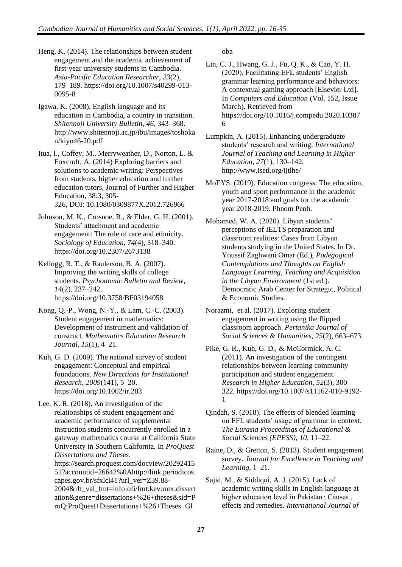- Heng, K. (2014). The relationships between student engagement and the academic achievement of first-year university students in Cambodia. *Asia-Pacific Education Researcher*, *23*(2), 179–189. https://doi.org/10.1007/s40299-013- 0095-8
- Igawa, K. (2008). English language and its education in Cambodia, a country in transition. *Shitennoji University Bulletin*, *46*, 343–368. http://www.shitennoji.ac.jp/ibu/images/toshoka n/kiyo46-20.pdf
- Itua, I., Coffey, M., Merryweather, D., Norton, L. & Foxcroft, A. (2014) Exploring barriers and solutions to academic writing: Perspectives from students, higher education and further education tutors, Journal of Further and Higher Education, 38:3, 305- 326, DOI: 10.1080/0309877X.2012.726966
- Johnson, M. K., Crosnoe, R., & Elder, G. H. (2001). Students' attachment and academic engagement: The role of race and ethnicity. *Sociology of Education*, *74*(4), 318–340. https://doi.org/10.2307/2673138
- Kellogg, R. T., & Raulerson, B. A. (2007). Improving the writing skills of college students. *Psychonomic Bulletin and Review*, *14*(2), 237–242. https://doi.org/10.3758/BF03194058
- Kong, Q.-P., Wong, N.-Y., & Lam, C.-C. (2003). Student engagement in mathematics: Development of instrument and validation of construct. *Mathematics Education Research Journal*, *15*(1), 4–21.
- Kuh, G. D. (2009). The national survey of student engagement: Conceptual and empirical foundations. *New Directions for Institutional Research*, *2009*(141), 5–20. https://doi.org/10.1002/ir.283

Lee, K. R. (2018). An investigation of the relationships of student engagement and academic performance of supplemental instruction students concurrently enrolled in a gateway mathematics course at California State University in Southern California. In *ProQuest Dissertations and Theses*. https://search.proquest.com/docview/20292415 51?accountid=26642%0Ahttp://link.periodicos. capes.gov.br/sfxlcl41?url\_ver=Z39.88- 2004&rft\_val\_fmt=info:ofi/fmt:kev:mtx:dissert ation&genre=dissertations+%26+theses&sid=P

roQ:ProQuest+Dissertations+%26+Theses+Gl

oba

- Lin, C. J., Hwang, G. J., Fu, Q. K., & Cao, Y. H. (2020). Facilitating EFL students' English grammar learning performance and behaviors: A contextual gaming approach [Elsevier Ltd]. In *Computers and Education* (Vol. 152, Issue March). Retrieved from https://doi.org/10.1016/j.compedu.2020.10387 6
- Lumpkin, A. (2015). Enhancing undergraduate students' research and writing. *International Journal of Teaching and Learning in Higher Education*, *27*(1), 130–142. http://www.isetl.org/ijtlhe/
- MoEYS. (2019). Education congress: The education, youth and sport performance in the academic year 2017-2018 and goals for the academic year 2018-2019*.* Phnom Penh.
- Mohamed, W. A. (2020). Libyan students' perceptions of IELTS preparation and classroom realities: Cases from Libyan students studying in the United States. In Dr. Youssif Zaghwani Omar (Ed.), *Padegogical Contemplations and Thoughts on English Language Learning, Teaching and Acquisition in the Libyan Environment* (1st ed.). Democratic Arab Center for Strategic, Political & Economic Studies.
- Norazmi, et al. (2017). Exploring student engagement in writing using the flipped classroom approach. *Pertanika Journal of Social Sciences & Humanities*, *25*(2), 663–673.
- Pike, G. R., Kuh, G. D., & McCormick, A. C. (2011). An investigation of the contingent relationships between learning community participation and student engagement. *Research in Higher Education*, *52*(3), 300– 322. https://doi.org/10.1007/s11162-010-9192- 1
- Qindah, S. (2018). The effects of blended learning on EFL students' usage of grammar in context. *The Eurasia Proceedings of Educational & Social Sciences (EPESS)*, *10*, 11–22.
- Raine, D., & Gretton, S. (2013). Student engagement survey. *Journal for Excellence in Teaching and Learning*, 1–21.
- Sajid, M., & Siddiqui, A. J. (2015). Lack of academic writing skills in English language at higher education level in Pakistan : Causes , effects and remedies. *International Journal of*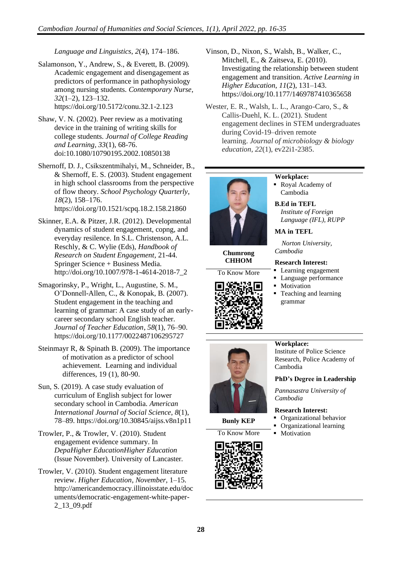*Language and Linguistics*, *2*(4), 174–186.

Salamonson, Y., Andrew, S., & Everett, B. (2009). Academic engagement and disengagement as predictors of performance in pathophysiology among nursing students. *Contemporary Nurse*, *32*(1–2), 123–132. https://doi.org/10.5172/conu.32.1-2.123

Shaw, V. N. (2002). Peer review as a motivating device in the training of writing skills for college students. *Journal of College Reading and Learning, 33*(1), 68-76. doi:10.1080/10790195.2002.10850138

Shernoff, D. J., Csikszentmihalyi, M., Schneider, B., & Shernoff, E. S. (2003). Student engagement in high school classrooms from the perspective of flow theory. *School Psychology Quarterly*, *18*(2), 158–176. https://doi.org/10.1521/scpq.18.2.158.21860

Skinner, E.A. & Pitzer, J.R. (2012). Developmental dynamics of student engagement, copng, and everyday resilence. In S.L. Christenson, A.L. Reschly, & C. Wylie (Eds), *Handbook of Research on Student Engagement*, 21-44. Springer Science + Business Media. http://doi.org/10.1007/978-1-4614-2018-7\_2

Smagorinsky, P., Wright, L., Augustine, S. M., O'Donnell-Allen, C., & Konopak, B. (2007). Student engagement in the teaching and learning of grammar: A case study of an earlycareer secondary school English teacher. *Journal of Teacher Education*, *58*(1), 76–90. https://doi.org/10.1177/0022487106295727

Steinmayr R, & Spinath B. (2009). The importance of motivation as a predictor of school achievement. Learning and individual differences, 19 (1), 80-90.

Sun, S. (2019). A case study evaluation of curriculum of English subject for lower secondary school in Cambodia. *American International Journal of Social Science*, *8*(1), 78–89. https://doi.org/10.30845/aijss.v8n1p11

Trowler, P., & Trowler, V. (2010). Student engagement evidence summary. In *DepaHigher EducationHigher Education* (Issue November). University of Lancaster.

Trowler, V. (2010). Student engagement literature review. *Higher Education*, *November*, 1–15. http://americandemocracy.illinoisstate.edu/doc uments/democratic-engagement-white-paper-2\_13\_09.pdf

Vinson, D., Nixon, S., Walsh, B., Walker, C., Mitchell, E., & Zaitseva, E. (2010). Investigating the relationship between student engagement and transition. *Active Learning in Higher Education*, *11*(2), 131–143. https://doi.org/10.1177/1469787410365658

Wester, E. R., Walsh, L. L., Arango-Caro, S., & Callis-Duehl, K. L. (2021). Student engagement declines in STEM undergraduates during Covid-19–driven remote learning. *Journal of microbiology & biology education*, *22*(1), ev22i1-2385.



**Chumrong CHHOM**

To Know More





**B.Ed in TEFL** *Institute of Foreign Language (IFL), RUPP*

**MA in TEFL**

*Norton University, Cambodia*

#### **Research Interest:**

- Learning engagement
- Language performance
- Motivation
- Teaching and learning grammar



**Bunly KEP**

To Know More • Motivation



## **Workplace:** Institute of Police Science

Research, Police Academy of Cambodia

## **PhD's Degree in Leadership**

*Pannasastra University of Cambodia*

#### **Research Interest:**

- Organizational behavior
- Organizational learning
-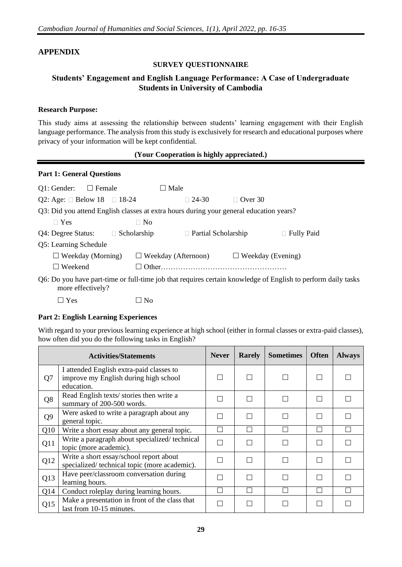## **APPENDIX**

## **SURVEY QUESTIONNAIRE**

## **Students' Engagement and English Language Performance: A Case of Undergraduate Students in University of Cambodia**

## **Research Purpose:**

This study aims at assessing the relationship between students' learning engagement with their English language performance. The analysis from this study is exclusively for research and educational purposes where privacy of your information will be kept confidential.

## **(Your Cooperation is highly appreciated.)**

## **Part 1: General Questions**

| $Q1:$ Gender: $\square$ Female                                                                                                    |                       |                    |           | $\square$ Male |                            |  |                          |                   |  |
|-----------------------------------------------------------------------------------------------------------------------------------|-----------------------|--------------------|-----------|----------------|----------------------------|--|--------------------------|-------------------|--|
| Q2: Age: $\Box$ Below 18 $\Box$ 18-24                                                                                             |                       |                    |           |                | $\Box$ 24-30               |  | $\Box$ Over 30           |                   |  |
| Q3: Did you attend English classes at extra hours during your general education years?                                            |                       |                    |           |                |                            |  |                          |                   |  |
| $\Box$ Yes                                                                                                                        |                       |                    | $\Box$ No |                |                            |  |                          |                   |  |
| Q4: Degree Status:                                                                                                                |                       | $\Box$ Scholarship |           |                | □ Partial Scholarship      |  |                          | $\Box$ Fully Paid |  |
|                                                                                                                                   | Q5: Learning Schedule |                    |           |                |                            |  |                          |                   |  |
| $\Box$ Weekday (Morning)                                                                                                          |                       |                    |           |                | $\Box$ Weekday (Afternoon) |  | $\Box$ Weekday (Evening) |                   |  |
| $\Box$ Weekend                                                                                                                    |                       |                    | ΙI        |                |                            |  |                          |                   |  |
| Q6: Do you have part-time or full-time job that requires certain knowledge of English to perform daily tasks<br>more effectively? |                       |                    |           |                |                            |  |                          |                   |  |

 $\Box$  Yes  $\Box$  No

## **Part 2: English Learning Experiences**

With regard to your previous learning experience at high school (either in formal classes or extra-paid classes), how often did you do the following tasks in English?

|                | <b>Activities/Statements</b>                                                                    | <b>Never</b> | <b>Rarely</b> | <b>Sometimes</b> | <b>Often</b> | <b>Always</b> |
|----------------|-------------------------------------------------------------------------------------------------|--------------|---------------|------------------|--------------|---------------|
| Q7             | I attended English extra-paid classes to<br>improve my English during high school<br>education. |              |               |                  |              |               |
| Q8             | Read English texts/ stories then write a<br>summary of 200-500 words.                           |              |               |                  |              |               |
| Q <sub>9</sub> | Were asked to write a paragraph about any<br>general topic.                                     |              | □             | $\mathbf{L}$     |              |               |
| Q10            | Write a short essay about any general topic.                                                    |              |               |                  |              |               |
| Q11            | Write a paragraph about specialized/technical<br>topic (more academic).                         |              |               |                  |              |               |
| Q12            | Write a short essay/school report about<br>specialized/technical topic (more academic).         |              |               |                  | n            |               |
| Q13            | Have peer/classroom conversation during<br>learning hours.                                      |              |               |                  | m,           |               |
| Q14            | Conduct roleplay during learning hours.                                                         |              |               |                  | H            |               |
| Q15            | Make a presentation in front of the class that<br>last from 10-15 minutes.                      |              |               |                  |              |               |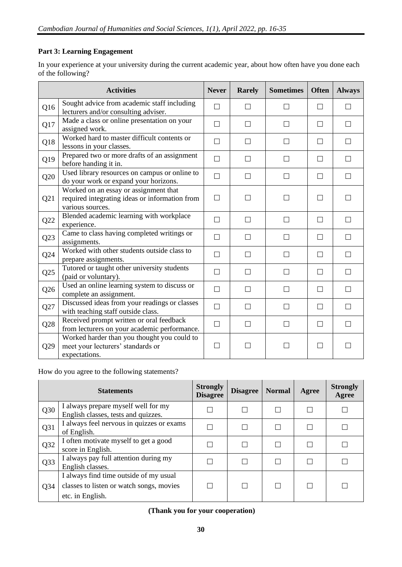## **Part 3: Learning Engagement**

In your experience at your university during the current academic year, about how often have you done each of the following?

|     | <b>Activities</b>                                                                                           | <b>Never</b> | <b>Rarely</b> | <b>Sometimes</b> | <b>Often</b> | <b>Always</b> |
|-----|-------------------------------------------------------------------------------------------------------------|--------------|---------------|------------------|--------------|---------------|
| Q16 | Sought advice from academic staff including<br>lecturers and/or consulting adviser.                         |              |               |                  |              |               |
| Q17 | Made a class or online presentation on your<br>assigned work.                                               | П            | П             | П                | П            | П             |
| Q18 | Worked hard to master difficult contents or<br>lessons in your classes.                                     | П            | П             | П                | $\Box$       | П             |
| Q19 | Prepared two or more drafts of an assignment<br>before handing it in.                                       |              |               | П                | $\Box$       |               |
| Q20 | Used library resources on campus or online to<br>do your work or expand your horizons.                      | $\Box$       | П             | $\Box$           | П            | П             |
| Q21 | Worked on an essay or assignment that<br>required integrating ideas or information from<br>various sources. | П            | П             | П                | П            |               |
| Q22 | Blended academic learning with workplace<br>experience.                                                     | $\Box$       | П             | П                | П            |               |
| Q23 | Came to class having completed writings or<br>assignments.                                                  | П            | П             | П                | $\Box$       |               |
| Q24 | Worked with other students outside class to<br>prepare assignments.                                         | П            | П             | П                | П            | П             |
| Q25 | Tutored or taught other university students<br>(paid or voluntary).                                         | П            | П             | П                | П            |               |
| Q26 | Used an online learning system to discuss or<br>complete an assignment.                                     | П            | П             | $\Box$           | П            |               |
| Q27 | Discussed ideas from your readings or classes<br>with teaching staff outside class.                         | $\Box$       | П             | П                | П            | $\perp$       |
| Q28 | Received prompt written or oral feedback<br>from lecturers on your academic performance.                    | $\Box$       | П             | $\Box$           | $\Box$       |               |
| Q29 | Worked harder than you thought you could to<br>meet your lecturers' standards or<br>expectations.           |              |               | - 1              |              |               |

How do you agree to the following statements?

|                 | <b>Statements</b>                                                                                      | <b>Strongly</b><br><b>Disagree</b> | <b>Disagree</b> | <b>Normal</b> | Agree | <b>Strongly</b><br>Agree |
|-----------------|--------------------------------------------------------------------------------------------------------|------------------------------------|-----------------|---------------|-------|--------------------------|
| Q30             | I always prepare myself well for my<br>English classes, tests and quizzes.                             |                                    | П               |               |       |                          |
| Q31             | I always feel nervous in quizzes or exams<br>of English.                                               |                                    |                 |               |       |                          |
| Q32             | I often motivate myself to get a good<br>score in English.                                             |                                    |                 |               |       |                          |
| Q33             | I always pay full attention during my<br>English classes.                                              |                                    |                 |               |       |                          |
| Q <sub>34</sub> | I always find time outside of my usual<br>classes to listen or watch songs, movies<br>etc. in English. |                                    | П               |               |       |                          |

**(Thank you for your cooperation)**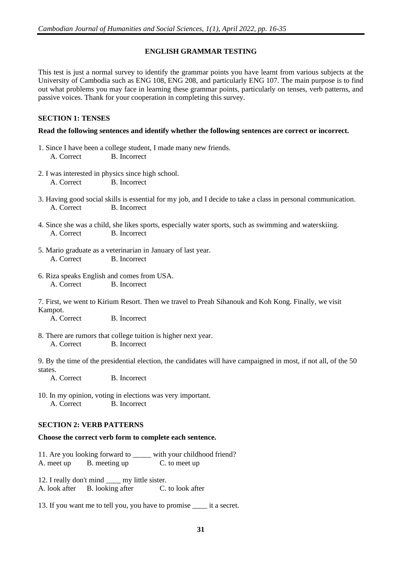## **ENGLISH GRAMMAR TESTING**

This test is just a normal survey to identify the grammar points you have learnt from various subjects at the University of Cambodia such as ENG 108, ENG 208, and particularly ENG 107. The main purpose is to find out what problems you may face in learning these grammar points, particularly on tenses, verb patterns, and passive voices. Thank for your cooperation in completing this survey.

## **SECTION 1: TENSES**

## **Read the following sentences and identify whether the following sentences are correct or incorrect.**

- 1. Since I have been a college student, I made many new friends. A. Correct B. Incorrect
- 2. I was interested in physics since high school. A. Correct B. Incorrect
- 3. Having good social skills is essential for my job, and I decide to take a class in personal communication. A. Correct B. Incorrect
- 4. Since she was a child, she likes sports, especially water sports, such as swimming and waterskiing. A. Correct B. Incorrect
- 5. Mario graduate as a veterinarian in January of last year. A. Correct B. Incorrect
- 6. Riza speaks English and comes from USA. A. Correct B. Incorrect
- 7. First, we went to Kirium Resort. Then we travel to Preah Sihanouk and Koh Kong. Finally, we visit Kampot.

A. Correct B. Incorrect

8. There are rumors that college tuition is higher next year. A. Correct B. Incorrect

9. By the time of the presidential election, the candidates will have campaigned in most, if not all, of the 50 states.

A. Correct B. Incorrect

10. In my opinion, voting in elections was very important. A. Correct B. Incorrect

## **SECTION 2: VERB PATTERNS**

## **Choose the correct verb form to complete each sentence.**

11. Are you looking forward to with your childhood friend? A. meet up B. meeting up C. to meet up

12. I really don't mind \_\_\_\_ my little sister. A. look after B. looking after C. to look after

13. If you want me to tell you, you have to promise \_\_\_\_ it a secret.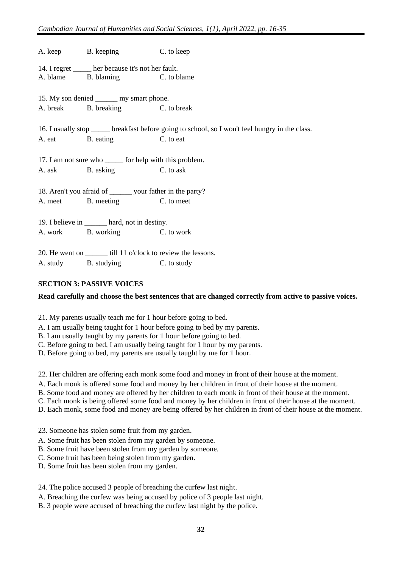A. keep B. keeping C. to keep 14. I regret  $\frac{1}{\text{B}}$  her because it's not her fault.<br>A. blame  $\frac{1}{\text{B}}$  blaming  $\frac{1}{\text{C}}$  to b B. blaming C. to blame 15. My son denied my smart phone. A. break B. breaking C. to break 16. I usually stop \_\_\_\_\_ breakfast before going to school, so I won't feel hungry in the class. A. eat B. eating C. to eat 17. I am not sure who for help with this problem. A. ask B. asking C. to ask 18. Aren't you afraid of \_\_\_\_\_\_ your father in the party? A. meet B. meeting C. to meet 19. I believe in \_\_\_\_\_\_ hard, not in destiny. A. work B. working C. to work 20. He went on \_\_\_\_\_\_ till 11 o'clock to review the lessons. A. study B. studying C. to study

## **SECTION 3: PASSIVE VOICES**

## **Read carefully and choose the best sentences that are changed correctly from active to passive voices.**

- 21. My parents usually teach me for 1 hour before going to bed.
- A. I am usually being taught for 1 hour before going to bed by my parents.
- B. I am usually taught by my parents for 1 hour before going to bed.
- C. Before going to bed, I am usually being taught for 1 hour by my parents.
- D. Before going to bed, my parents are usually taught by me for 1 hour.

22. Her children are offering each monk some food and money in front of their house at the moment.

- A. Each monk is offered some food and money by her children in front of their house at the moment.
- B. Some food and money are offered by her children to each monk in front of their house at the moment.
- C. Each monk is being offered some food and money by her children in front of their house at the moment.
- D. Each monk, some food and money are being offered by her children in front of their house at the moment.
- 23. Someone has stolen some fruit from my garden.
- A. Some fruit has been stolen from my garden by someone.
- B. Some fruit have been stolen from my garden by someone.
- C. Some fruit has been being stolen from my garden.
- D. Some fruit has been stolen from my garden.

24. The police accused 3 people of breaching the curfew last night.

- A. Breaching the curfew was being accused by police of 3 people last night.
- B. 3 people were accused of breaching the curfew last night by the police.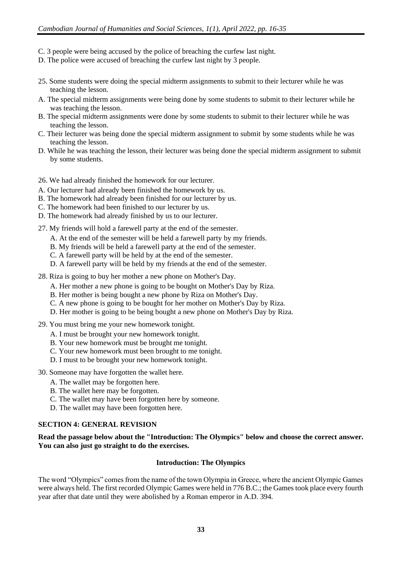- C. 3 people were being accused by the police of breaching the curfew last night.
- D. The police were accused of breaching the curfew last night by 3 people.
- 25. Some students were doing the special midterm assignments to submit to their lecturer while he was teaching the lesson.
- A. The special midterm assignments were being done by some students to submit to their lecturer while he was teaching the lesson.
- B. The special midterm assignments were done by some students to submit to their lecturer while he was teaching the lesson.
- C. Their lecturer was being done the special midterm assignment to submit by some students while he was teaching the lesson.
- D. While he was teaching the lesson, their lecturer was being done the special midterm assignment to submit by some students.
- 26. We had already finished the homework for our lecturer.
- A. Our lecturer had already been finished the homework by us.
- B. The homework had already been finished for our lecturer by us.
- C. The homework had been finished to our lecturer by us.
- D. The homework had already finished by us to our lecturer.
- 27. My friends will hold a farewell party at the end of the semester.
	- A. At the end of the semester will be held a farewell party by my friends.
	- B. My friends will be held a farewell party at the end of the semester.
	- C. A farewell party will be held by at the end of the semester.
	- D. A farewell party will be held by my friends at the end of the semester.
- 28. Riza is going to buy her mother a new phone on Mother's Day.
	- A. Her mother a new phone is going to be bought on Mother's Day by Riza.
	- B. Her mother is being bought a new phone by Riza on Mother's Day.
	- C. A new phone is going to be bought for her mother on Mother's Day by Riza.
	- D. Her mother is going to be being bought a new phone on Mother's Day by Riza.
- 29. You must bring me your new homework tonight.
	- A. I must be brought your new homework tonight.
	- B. Your new homework must be brought me tonight.
	- C. Your new homework must been brought to me tonight.
	- D. I must to be brought your new homework tonight.
- 30. Someone may have forgotten the wallet here.
	- A. The wallet may be forgotten here.
	- B. The wallet here may be forgotten.
	- C. The wallet may have been forgotten here by someone.
	- D. The wallet may have been forgotten here.

## **SECTION 4: GENERAL REVISION**

**Read the passage below about the "Introduction: The Olympics" below and choose the correct answer. You can also just go straight to do the exercises.**

## **Introduction: The Olympics**

The word "Olympics" comes from the name of the town Olympia in Greece, where the ancient Olympic Games were always held. The first recorded Olympic Games were held in 776 B.C.; the Games took place every fourth year after that date until they were abolished by a Roman emperor in A.D. 394.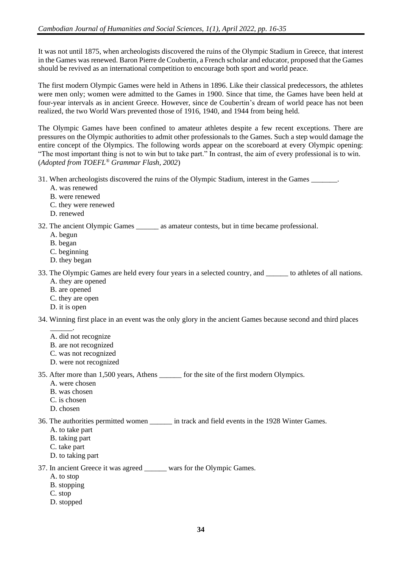It was not until 1875, when archeologists discovered the ruins of the Olympic Stadium in Greece, that interest in the Games was renewed. Baron Pierre de Coubertin, a French scholar and educator, proposed that the Games should be revived as an international competition to encourage both sport and world peace.

The first modern Olympic Games were held in Athens in 1896. Like their classical predecessors, the athletes were men only; women were admitted to the Games in 1900. Since that time, the Games have been held at four-year intervals as in ancient Greece. However, since de Coubertin's dream of world peace has not been realized, the two World Wars prevented those of 1916, 1940, and 1944 from being held.

The Olympic Games have been confined to amateur athletes despite a few recent exceptions. There are pressures on the Olympic authorities to admit other professionals to the Games. Such a step would damage the entire concept of the Olympics. The following words appear on the scoreboard at every Olympic opening: "The most important thing is not to win but to take part." In contrast, the aim of every professional is to win. (*Adopted from TOEFL® Grammar Flash, 2002*)

- 31. When archeologists discovered the ruins of the Olympic Stadium, interest in the Games \_\_\_\_\_\_\_.
	- A. was renewed
	- B. were renewed
	- C. they were renewed
	- D. renewed
- 32. The ancient Olympic Games as amateur contests, but in time became professional.
	- A. begun
	- B. began
	- C. beginning
	- D. they began
- 33. The Olympic Games are held every four years in a selected country, and \_\_\_\_\_\_ to athletes of all nations. A. they are opened
	- B. are opened
	- C. they are open
	- D. it is open

34. Winning first place in an event was the only glory in the ancient Games because second and third places

- \_\_\_\_\_\_. A. did not recognize
- B. are not recognized
- C. was not recognized
- D. were not recognized

35. After more than 1,500 years, Athens \_\_\_\_\_\_ for the site of the first modern Olympics.

- A. were chosen
- B. was chosen
- C. is chosen
- D. chosen

36. The authorities permitted women \_\_\_\_\_\_ in track and field events in the 1928 Winter Games.

- A. to take part
- B. taking part
- C. take part
- D. to taking part

37. In ancient Greece it was agreed \_\_\_\_\_\_ wars for the Olympic Games.

- A. to stop
- B. stopping
- C. stop
- D. stopped